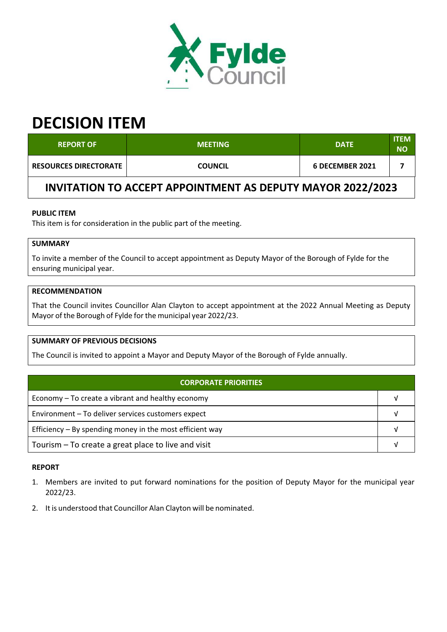

# **DECISION ITEM**

| <b>REPORT OF</b>                                           | <b>MEETING</b> | <b>DATE</b>     | <b>ITEM</b><br>ΝO |  |  |
|------------------------------------------------------------|----------------|-----------------|-------------------|--|--|
| <b>RESOURCES DIRECTORATE</b>                               | <b>COUNCIL</b> | 6 DECEMBER 2021 |                   |  |  |
| INVITATION TO ACCEPT APPOINTMENT AS DEPUTY MAYOR 2022/2023 |                |                 |                   |  |  |

## **PUBLIC ITEM**

This item is for consideration in the public part of the meeting.

# **SUMMARY**

To invite a member of the Council to accept appointment as Deputy Mayor of the Borough of Fylde for the ensuring municipal year.

#### **RECOMMENDATION**

That the Council invites Councillor Alan Clayton to accept appointment at the 2022 Annual Meeting as Deputy Mayor of the Borough of Fylde forthe municipal year 2022/23.

### **SUMMARY OF PREVIOUS DECISIONS**

The Council is invited to appoint a Mayor and Deputy Mayor of the Borough of Fylde annually.

| <b>CORPORATE PRIORITIES</b>                                |  |  |
|------------------------------------------------------------|--|--|
| Economy – To create a vibrant and healthy economy          |  |  |
| Environment - To deliver services customers expect         |  |  |
| Efficiency $-$ By spending money in the most efficient way |  |  |
| Tourism – To create a great place to live and visit        |  |  |

#### **REPORT**

- 1. Members are invited to put forward nominations for the position of Deputy Mayor for the municipal year 2022/23.
- 2. It is understood that Councillor Alan Clayton will be nominated.